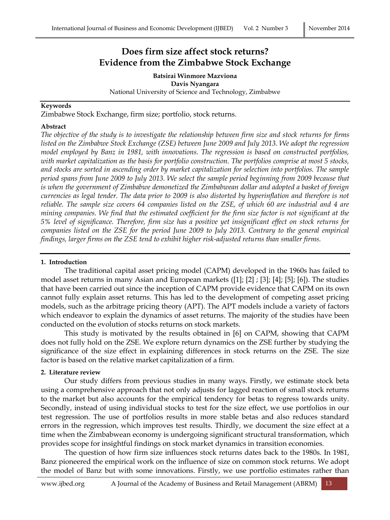# **Does firm size affect stock returns? Evidence from the Zimbabwe Stock Exchange**

**Batsirai Winmore Mazviona Davis Nyangara** National University of Science and Technology, Zimbabwe

#### **Keywords**

Zimbabwe Stock Exchange, firm size; portfolio, stock returns.

#### **Abstract**

*The objective of the study is to investigate the relationship between firm size and stock returns for firms listed on the Zimbabwe Stock Exchange (ZSE) between June 2009 and July 2013. We adopt the regression model employed by Banz in 1981, with innovations. The regression is based on constructed portfolios, with market capitalization as the basis for portfolio construction. The portfolios comprise at most 5 stocks, and stocks are sorted in ascending order by market capitalization for selection into portfolios. The sample period spans from June 2009 to July 2013. We select the sample period beginning from 2009 because that is when the government of Zimbabwe demonetized the Zimbabwean dollar and adopted a basket of foreign currencies as legal tender. The data prior to 2009 is also distorted by hyperinflation and therefore is not reliable. The sample size covers 64 companies listed on the ZSE, of which 60 are industrial and 4 are mining companies. We find that the estimated coefficient for the firm size factor is not significant at the 5% level of significance. Therefore, firm size has a positive yet insignificant effect on stock returns for companies listed on the ZSE for the period June 2009 to July 2013. Contrary to the general empirical findings, larger firms on the ZSE tend to exhibit higher risk-adjusted returns than smaller firms.*

#### **1. Introduction**

The traditional capital asset pricing model (CAPM) developed in the 1960s has failed to model asset returns in many Asian and European markets ([1]; [2] ; [3]; [4]; [5]; [6]). The studies that have been carried out since the inception of CAPM provide evidence that CAPM on its own cannot fully explain asset returns. This has led to the development of competing asset pricing models, such as the arbitrage pricing theory (APT). The APT models include a variety of factors which endeavor to explain the dynamics of asset returns. The majority of the studies have been conducted on the evolution of stocks returns on stock markets.

This study is motivated by the results obtained in [6] on CAPM, showing that CAPM does not fully hold on the ZSE. We explore return dynamics on the ZSE further by studying the significance of the size effect in explaining differences in stock returns on the ZSE. The size factor is based on the relative market capitalization of a firm.

#### **2. Literature review**

Our study differs from previous studies in many ways. Firstly, we estimate stock beta using a comprehensive approach that not only adjusts for lagged reaction of small stock returns to the market but also accounts for the empirical tendency for betas to regress towards unity. Secondly, instead of using individual stocks to test for the size effect, we use portfolios in our test regression. The use of portfolios results in more stable betas and also reduces standard errors in the regression, which improves test results. Thirdly, we document the size effect at a time when the Zimbabwean economy is undergoing significant structural transformation, which provides scope for insightful findings on stock market dynamics in transition economies.

The question of how firm size influences stock returns dates back to the 1980s. In 1981, Banz pioneered the empirical work on the influence of size on common stock returns. We adopt the model of Banz but with some innovations. Firstly, we use portfolio estimates rather than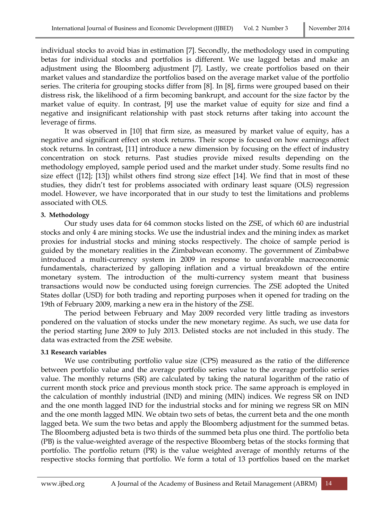individual stocks to avoid bias in estimation [7]. Secondly, the methodology used in computing betas for individual stocks and portfolios is different. We use lagged betas and make an adjustment using the Bloomberg adjustment [7]. Lastly, we create portfolios based on their market values and standardize the portfolios based on the average market value of the portfolio series. The criteria for grouping stocks differ from [8]. In [8], firms were grouped based on their distress risk, the likelihood of a firm becoming bankrupt, and account for the size factor by the market value of equity. In contrast, [9] use the market value of equity for size and find a negative and insignificant relationship with past stock returns after taking into account the leverage of firms.

It was observed in [10] that firm size, as measured by market value of equity, has a negative and significant effect on stock returns. Their scope is focused on how earnings affect stock returns. In contrast, [11] introduce a new dimension by focusing on the effect of industry concentration on stock returns. Past studies provide mixed results depending on the methodology employed, sample period used and the market under study. Some results find no size effect ([12]; [13]) whilst others find strong size effect [14]. We find that in most of these studies, they didn't test for problems associated with ordinary least square (OLS) regression model. However, we have incorporated that in our study to test the limitations and problems associated with OLS.

## **3. Methodology**

Our study uses data for 64 common stocks listed on the ZSE, of which 60 are industrial stocks and only 4 are mining stocks. We use the industrial index and the mining index as market proxies for industrial stocks and mining stocks respectively. The choice of sample period is guided by the monetary realities in the Zimbabwean economy. The government of Zimbabwe introduced a multi-currency system in 2009 in response to unfavorable macroeconomic fundamentals, characterized by galloping inflation and a virtual breakdown of the entire monetary system. The introduction of the multi-currency system meant that business transactions would now be conducted using foreign currencies. The ZSE adopted the United States dollar (USD) for both trading and reporting purposes when it opened for trading on the 19th of February 2009, marking a new era in the history of the ZSE.

The period between February and May 2009 recorded very little trading as investors pondered on the valuation of stocks under the new monetary regime. As such, we use data for the period starting June 2009 to July 2013. Delisted stocks are not included in this study. The data was extracted from the ZSE website.

#### **3.1 Research variables**

We use contributing portfolio value size (CPS) measured as the ratio of the difference between portfolio value and the average portfolio series value to the average portfolio series value. The monthly returns (SR) are calculated by taking the natural logarithm of the ratio of current month stock price and previous month stock price. The same approach is employed in the calculation of monthly industrial (IND) and mining (MIN) indices. We regress SR on IND and the one month lagged IND for the industrial stocks and for mining we regress SR on MIN and the one month lagged MIN. We obtain two sets of betas, the current beta and the one month lagged beta. We sum the two betas and apply the Bloomberg adjustment for the summed betas. The Bloomberg adjusted beta is two thirds of the summed beta plus one third. The portfolio beta (PB) is the value-weighted average of the respective Bloomberg betas of the stocks forming that portfolio. The portfolio return (PR) is the value weighted average of monthly returns of the respective stocks forming that portfolio. We form a total of 13 portfolios based on the market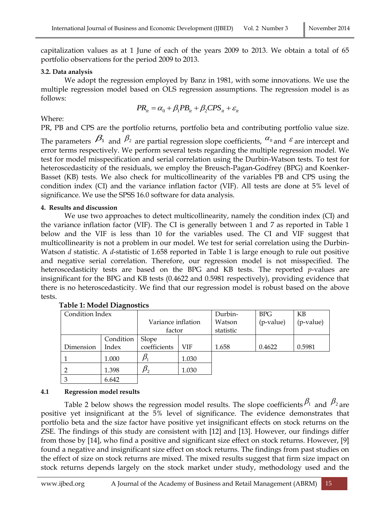capitalization values as at 1 June of each of the years 2009 to 2013. We obtain a total of 65 portfolio observations for the period 2009 to 2013.

## **3.2. Data analysis**

We adopt the regression employed by Banz in 1981, with some innovations. We use the multiple regression model based on OLS regression assumptions. The regression model is as follows:

$$
PR_{it} = \alpha_0 + \beta_1 PB_{it} + \beta_2 CPS_{it} + \varepsilon_{it}
$$

# Where:

PR, PB and CPS are the portfolio returns, portfolio beta and contributing portfolio value size.

The parameters  $\beta_1$  and  $\beta_2$  are partial regression slope coefficients,  $\alpha_0$  and  $\epsilon$  are intercept and error terms respectively. We perform several tests regarding the multiple regression model. We test for model misspecification and serial correlation using the Durbin-Watson tests. To test for heteroscedasticity of the residuals, we employ the Breusch-Pagan-Godfrey (BPG) and Koenker-Basset (KB) tests. We also check for multicollinearity of the variables PB and CPS using the condition index (CI) and the variance inflation factor (VIF). All tests are done at 5% level of significance. We use the SPSS 16.0 software for data analysis.

## **4. Results and discussion**

We use two approaches to detect multicollinearity, namely the condition index (CI) and the variance inflation factor (VIF). The CI is generally between 1 and 7 as reported in Table 1 below and the VIF is less than 10 for the variables used. The CI and VIF suggest that multicollinearity is not a problem in our model. We test for serial correlation using the Durbin-Watson *d* statistic. A *d*-statistic of 1.658 reported in Table 1 is large enough to rule out positive and negative serial correlation. Therefore, our regression model is not misspecified. The heteroscedasticity tests are based on the BPG and KB tests. The reported *p*-values are insignificant for the BPG and KB tests (0.4622 and 0.5981 respectively), providing evidence that there is no heteroscedasticity. We find that our regression model is robust based on the above tests.

| Condition Index |           |                    |       | Durbin-   | <b>BPG</b> | KB        |
|-----------------|-----------|--------------------|-------|-----------|------------|-----------|
|                 |           | Variance inflation |       | Watson    | (p-value)  | (p-value) |
|                 |           | factor             |       | statistic |            |           |
|                 | Condition | Slope              |       |           |            |           |
| Dimension       | Index     | coefficients       | VIF   | 1.658     | 0.4622     | 0.5981    |
|                 | 1.000     |                    | 1.030 |           |            |           |
| $\overline{2}$  | 1.398     |                    | 1.030 |           |            |           |
| 3               | 6.642     |                    |       |           |            |           |

# **Table 1: Model Diagnostics**

# **4.1 Regression model results**

Table 2 below shows the regression model results. The slope coefficients  $\beta_1$  and  $\beta_2$  are positive yet insignificant at the 5% level of significance. The evidence demonstrates that portfolio beta and the size factor have positive yet insignificant effects on stock returns on the ZSE. The findings of this study are consistent with [12] and [13]. However, our findings differ from those by [14], who find a positive and significant size effect on stock returns. However, [9] found a negative and insignificant size effect on stock returns. The findings from past studies on the effect of size on stock returns are mixed. The mixed results suggest that firm size impact on stock returns depends largely on the stock market under study, methodology used and the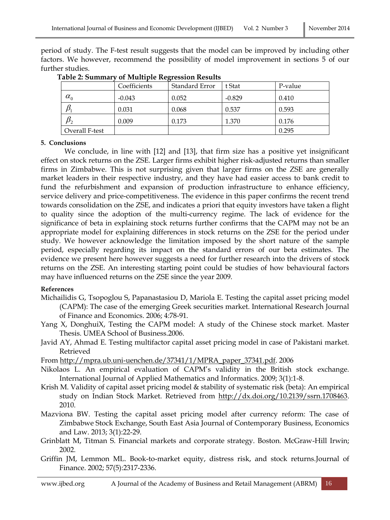period of study. The F-test result suggests that the model can be improved by including other factors. We however, recommend the possibility of model improvement in sections 5 of our further studies.

|                | Coefficients | Standard Error | t Stat   | P-value |
|----------------|--------------|----------------|----------|---------|
| $\alpha_{0}$   | $-0.043$     | 0.052          | $-0.829$ | 0.410   |
|                | 0.031        | 0.068          | 0.537    | 0.593   |
| $\mu_{2}$      | 0.009        | 0.173          | 1.370    | 0.176   |
| Overall F-test |              |                |          | 0.295   |

 **Table 2: Summary of Multiple Regression Results**

## **5. Conclusions**

We conclude, in line with [12] and [13], that firm size has a positive yet insignificant effect on stock returns on the ZSE. Larger firms exhibit higher risk-adjusted returns than smaller firms in Zimbabwe. This is not surprising given that larger firms on the ZSE are generally market leaders in their respective industry, and they have had easier access to bank credit to fund the refurbishment and expansion of production infrastructure to enhance efficiency, service delivery and price-competitiveness. The evidence in this paper confirms the recent trend towards consolidation on the ZSE, and indicates a priori that equity investors have taken a flight to quality since the adoption of the multi-currency regime. The lack of evidence for the significance of beta in explaining stock returns further confirms that the CAPM may not be an appropriate model for explaining differences in stock returns on the ZSE for the period under study. We however acknowledge the limitation imposed by the short nature of the sample period, especially regarding its impact on the standard errors of our beta estimates. The evidence we present here however suggests a need for further research into the drivers of stock returns on the ZSE. An interesting starting point could be studies of how behavioural factors may have influenced returns on the ZSE since the year 2009.

#### **References**

- Michailidis G, Tsopoglou S, Papanastasiou D, Mariola E. Testing the capital asset pricing model (CAPM): The case of the emerging Greek securities market. International Research Journal of Finance and Economics. 2006; 4:78-91.
- Yang X, DonghuiX, Testing the CAPM model: A study of the Chinese stock market. Master Thesis. UMEA School of Business.2006.
- Javid AY, Ahmad E. Testing multifactor capital asset pricing model in case of Pakistani market. Retrieved
- From [http://mpra.ub.uni-uenchen.de/37341/1/MPRA\\_paper\\_37341.pdf.](http://mpra.ub.uni-uenchen.de/37341/1/MPRA_paper_37341.pdf) 2006
- Nikolaos L. An empirical evaluation of CAPM's validity in the British stock exchange. International Journal of Applied Mathematics and Informatics. 2009; 3(1):1-8.
- Krish M. Validity of capital asset pricing model & stability of systematic risk (beta): An empirical study on Indian Stock Market. Retrieved from [http://dx.doi.org/10.2139/ssrn.1708463.](http://dx.doi.org/10.2139/ssrn.1708463) 2010.
- Mazviona BW. Testing the capital asset pricing model after currency reform: The case of Zimbabwe Stock Exchange, South East Asia Journal of Contemporary Business, Economics and Law. 2013; 3(1):22-29.
- Grinblatt M, Titman S. Financial markets and corporate strategy. Boston. McGraw-Hill Irwin; 2002.
- Griffin JM, Lemmon ML. Book-to-market equity, distress risk, and stock returns.Journal of Finance. 2002; 57(5):2317-2336.